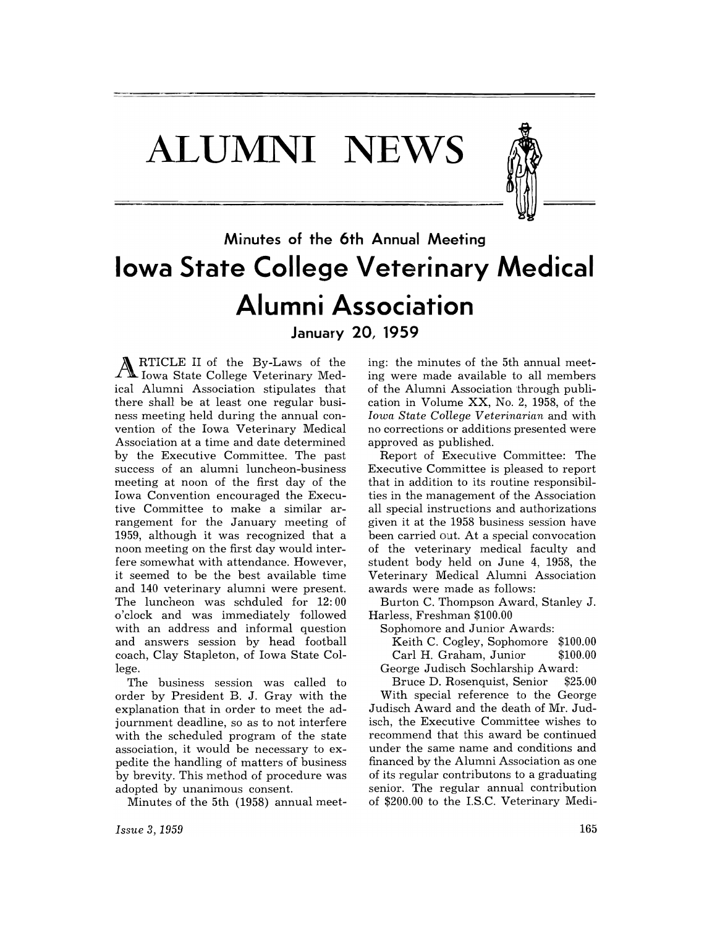**ALUMNI NEWS** 



## **Minutes of the 6th Annual Meeting Iowa State College Veterinary Medical Alumni Association January 20, 1959**

A RTICLE II of the By-Laws of the 10 Iowa State College Veterinary Medical Alumni Association stipulates that there shall be at least one regular business meeting held during the annual convention of the Iowa Veterinary Medical Association at a time and date determined by the Executive Committee. The past success of an alumni luncheon-business meeting at noon of the first day of the Iowa Convention encouraged the Executive Committee to make a similar arrangement for the January meeting of 1959, although it was recognized that a noon meeting on the first day would interfere somewhat with attendance. However, it seemed to be the best available time and 140 veterinary alumni were present. The luncheon was schduled for 12: 00 o'clock and was immediately followed with an address and informal question and answers session by head football coach, Clay Stapleton, of Iowa State College.

The business session was called to order by President B. J. Gray with the explanation that in order to meet the adjournment deadline, so as to not interfere with the scheduled program of the state association, it would be necessary to expedite the handling of matters of business by brevity. This method of procedure was adopted by unanimous consent.

Minutes of the 5th (1958) annual meet-

ing: the minutes of the 5th annual meeting were made available to all members of the Alumni Association through publication in Volume XX, No.2, 1958, of the *Iowa State College Veterinarian* and with no corrections or additions presented were approved as published.

Report of Executive Committee: The Executive Committee is pleased to report that in addition to its routine responsibilties in the management of the Association all special instructions and authorizations given it at the 1958 business session have been carried out. At a special convocation of the veterinary medical faculty and student body held on June 4, 1958, the Veterinary Medical Alumni Association awards were made as follows:

Burton C. Thompson Award, Stanley J. Harless, Freshman \$100.00

Sophomore and Junior Awards:

Keith C. Cogley, Sophomore \$100.00 Carl H. Graham, Junior \$100.00

George Judisch Sochlarship Award:

Bruce D. Rosenquist, Senior \$25.00 With special reference to the George

Judisch Award and the death of Mr. Judisch, the Executive Committee wishes to recommend that this award be continued under the same name and conditions and financed by the Alumni Association as one of its regular contributons to a graduating senior. The regular annual contribution of \$200.00 to the I.S.C. Veterinary Medi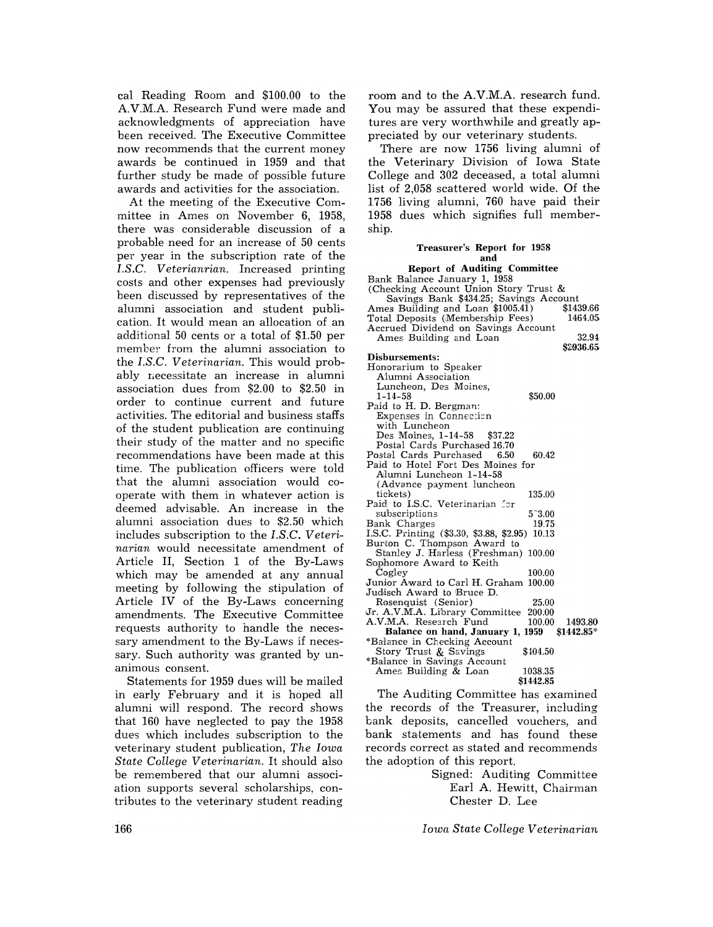cal Reading Room and \$100.00 to the A.V.M.A. Research Fund were made and acknowledgments of appreciation have been received. The Executive Committee now recommends that the current money awards be continued in 1959 and that further study be made of possible future awards and activities for the association.

At the meeting of the Executive Committee in Ames on November 6, 1958, there was considerable discussion of a probable need for an increase of 50 cents per year in the subscription rate of the *I.S.C. Veterianrian.* Increased printing costs and other expenses had previously been discussed by representatives of the alumni association and student publication. It would mean an allocation of an additional 50 cents or a total of \$1.50 per member from the alumni association to the *I.S.C. Veterinarian.* This would probably necessitate an increase in alumni association dues from \$2.00 to \$2.50 in order to continue current and future activities. The editorial and business staffs of the student publication are continuing their study of the matter and no specific recommendations have been made at this time. The publication officers were told that the alumni association would cooperate with them in whatever action is deemed advisable. An increase in the alumni association dues to \$2.50 which includes subscription to the *I.S.C. Veterinarian* would necessitate amendment of Article II, Section 1 of the By-Laws which may be amended at any annual meeting by following the stipulation of Article IV of the By-Laws concerning amendments. The Executive Committee requests authority to handle the necessary amendment to the By-Laws if necessary. Such authority was granted by unanimous consent.

Statements for 1959 dues will be mailed in early February and it is hoped all alumni will respond. The record shows that 160 have neglected to pay the 1958 dues which includes subscription to the veterinary student publication, *The Iowa State College Veterinarian.* It should also be remembered that our alumni association supports several scholarships, contributes to the veterinary student reading

room and to the A.V.M.A. research fund. You may be assured that these expenditures are very worthwhile and greatly appreciated by our veterinary students.

There are now 1756 living alumni of the Veterinary Division of Iowa State College and 302 deceased, a total alumni list of 2,058 scattered world wide. Of the 1756 living alumni, 760 have paid their 1958 dues which signifies full membership.

#### Treasurer's Report for 1958 and

| <b>Report of Auditing Committee</b>                                               |           |
|-----------------------------------------------------------------------------------|-----------|
| Bank Balance January 1, 1958                                                      |           |
| (Checking Account Union Story Trust &                                             |           |
| Savings Bank \$434.25; Savings Account<br>Ames Building and Loan \$1005.41) \$143 |           |
|                                                                                   | \$1439.66 |
| Total Deposits (Membership Fees)                                                  | 1464.05   |
| Accrued Dividend on Savings Account                                               |           |
| Ames Building and Loan                                                            | 32.94     |
|                                                                                   | \$2936.65 |
| Disbursements:                                                                    |           |
| Honorarium to Speaker                                                             |           |
| Alumni Association                                                                |           |
| Luncheon, Des Moines,                                                             |           |
| \$50.00<br>$1 - 14 - 58$                                                          |           |
| Paid to H. D. Bergman:                                                            |           |
| <b>Expenses in Connection</b>                                                     |           |
| with Luncheon                                                                     |           |
| Des Moines, 1-14-58<br>\$37.22                                                    |           |
| Postal Cards Purchased 16.70                                                      |           |
| Postal Cards Purchased 6.50<br>60.42                                              |           |
| Paid to Hotel Fort Des Moines for                                                 |           |
| Alumni Luncheon 1-14-58                                                           |           |
| (Advance payment luncheon                                                         |           |
| tickets)<br>135.00                                                                |           |
| Paid to I.S.C. Veterinarian for                                                   |           |
| subscriptions<br>$5^{\circ}3.00$                                                  |           |
| Bank Charges<br>19.75                                                             |           |
| I.S.C. Printing (\$3.30, \$3.88, \$2.95)<br>10.13                                 |           |
| Burton C. Thompson Award to                                                       |           |
| Stanley J. Harless (Freshman) 100.00                                              |           |
| Sophomore Award to Keith                                                          |           |
| Cogley<br>100.00                                                                  |           |
|                                                                                   |           |
| Junior Award to Carl H. Graham 100.00                                             |           |
| Judisch Award to Bruce D.                                                         |           |
| Rosenquist (Senior)<br>25.00                                                      |           |
| Jr. A.V.M.A. Library Committee<br>200.00                                          |           |
| A.V.M.A. Research Fund<br>100.00                                                  | 1493.80   |
| Balance on hand, January 1, 1959 \$1442.85*                                       |           |
| *Balance in Checking Account                                                      |           |
| Story Trust & Savings<br>\$104.50                                                 |           |
| *Balance in Savings Account                                                       |           |
| Ames Building & Loan<br>1038.35                                                   |           |
| \$1442.85                                                                         |           |

The Auditing Committee has examined the records of the Treasurer, including bank deposits, cancelled vouchers, and bank statements and has found these records correct as stated and recommends the adoption of this report.

> Signed: Auditing Committee Earl A. Hewitt, Chairman Chester D. Lee

*Iowa State College Veterinarian*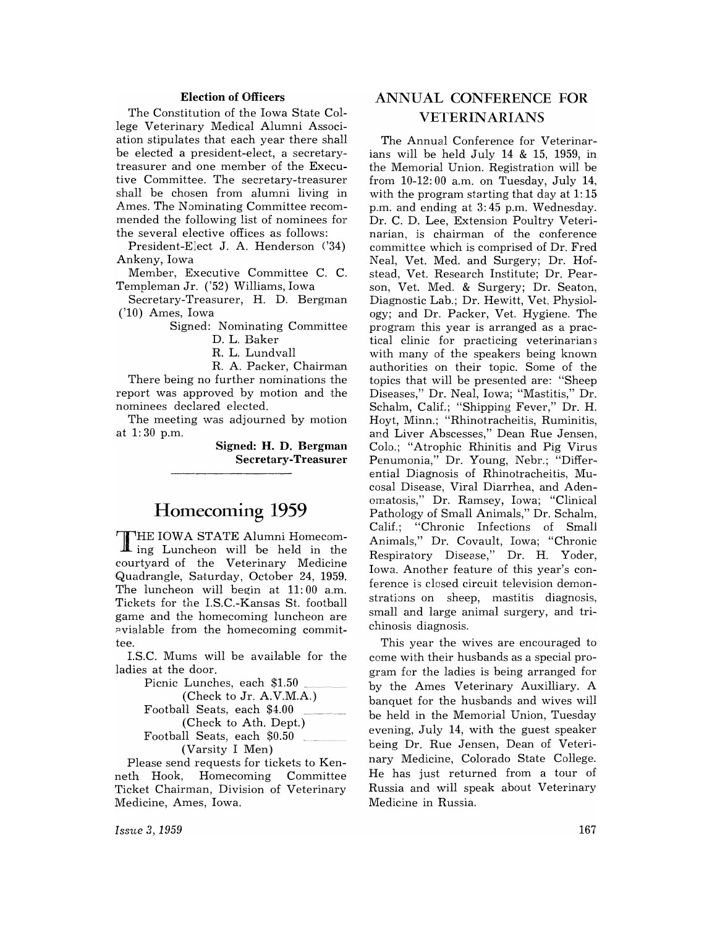#### Election of Officers

The Constitution of the Iowa State College Veterinary Medical Alumni Association stipulates that each year there shall be elected a president-elect, a secretarytreasurer and one member of the Executive Committee. The secretary-treasurer shall be chosen from alumni living in Ames. The Nominating Committee recommended the following list of nominees for the several elective offices as follows:

President-Elect J. A. Henderson ('34) Ankeny, Iowa

Member, Executive Committee C. C. Templeman Jr. ('52) Williams, Iowa

Secretary-Treasurer, H. D. Bergman ('10) Ames, Iowa

Signed: Nominating Committee

D. L. Baker

R. L. Lundvall

R. A. Packer, Chairman There being no further nominations the report was approved by motion and the nominees declared elected.

The meeting was adjourned by motion at 1: 30 p.m.

> Signed: H. D. Bergman Secretary-Treasurer

## Homecoming 1959

T HE IOWA STATE Alumni Homecom-ing Luncheon will be held in the courtyard of the Veterinary Medicine Quadrangle, Saturday, October 24, 1959. The luncheon will begin at 11: 00 a.m. Tickets for the I.S.C.-Kansas St. football game and the homecoming luncheon are ~vialable from the homecoming committee.

LS.C. Mums will be available for the ladies at the door.

| Picnic Lunches, each \$1.50         |
|-------------------------------------|
| (Check to Jr. A.V.M.A.)             |
| Football Seats, each \$4.00         |
| (Check to Ath. Dept.)               |
| $\rm$ Football Seats, each $\$0.50$ |
| (Varsity I Men)                     |

Please send requests for tickets to Kenneth Hook, Homecoming Committee Ticket Chairman, Division of Veterinary Medicine, Ames, Iowa.

### ANNUAL CONFERENCE FOR VETERIN ARIANS

The Annual Conference for Veterinarians will be held July 14 & 15, 1959, in the Memorial Union. Registration will be from 10-12: 00 a.m. on Tuesday, July 14, with the program starting that day at 1:15 p.m. and ending at 3: 45 p.m. Wednesday. Dr. C. D. Lee, Extension Poultry Veterinarian. is chairman of the conference committee which is comprised of Dr. Fred Neal, Vet. Med. and Surgery; Dr. Hofstead, Vet. Research Institute; Dr. Pearson, Vet. Med. & Surgery; Dr. Seaton, Diagnostic Lab.; Dr. Hewitt, Vet. Physiology; and Dr. Packer, Vet. Hygiene. The program this year is arranged as a practical clinic for practicing veterinarian3 with many of the speakers being known authorities on their topic. Some of the topics that will be presented are: "Sheep Diseases," Dr. Neal, Iowa; "Mastitis," Dr. Schalm, Calif.; "Shipping Fever," Dr. H. Hoyt, Minn.; "Rhinotracheitis, Ruminitis, and Liver Abscesses," Dean Rue Jensen, Colo.; "Atrophic Rhinitis and Pig Virus Penumonia," Dr. Young, Nebr.; "Differential Diagnosis of Rhinotracheitis, Mucosal Disease, Viral Diarrhea, and Adenomatosis," Dr. Ramsey, Iowa; "Clinical Pathology of Small Animals," Dr. Schalm, Calif.; "Chronic Infections of Small Animals," Dr. Covault, Iowa; "Chronic Respiratory Disease," Dr. H. Yoder, Iowa. Another feature of this year's conference is closed circuit television demonstrations on sheep, mastitis diagnosis, small and large animal surgery, and trichinosis diagnosis.

This year the wives are encouraged to come with their husbands as a special program for the ladies is being arranged for by the Ames Veterinary Auxilliary. A banquet for the husbands and wives will be held in the Memorial Union, Tuesday evening, July 14, with the guest speaker being Dr. Rue Jensen, Dean of Veterinary Medicine, Colorado State College. He has just returned from a tour of Russia and will speak about Veterinary Medicine in Russia.

*Issue* 3,1959